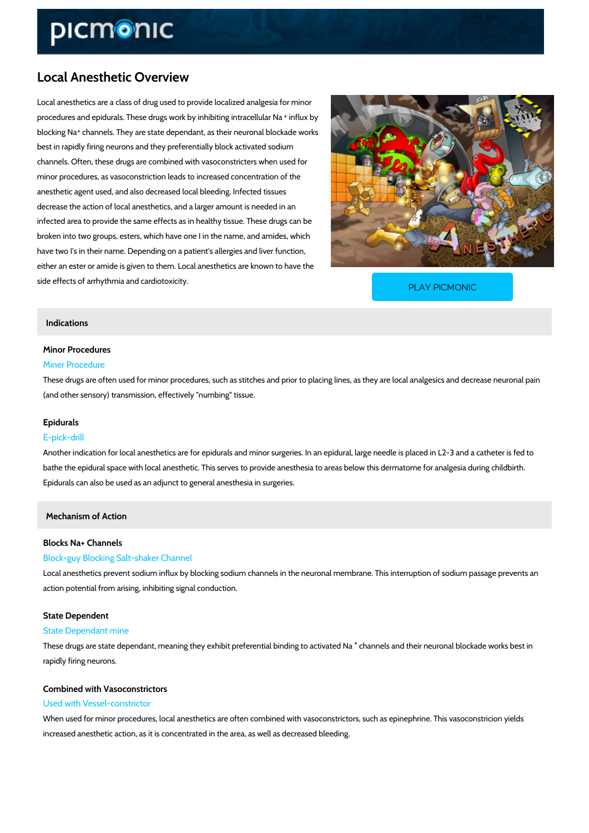# Local Anesthetic Overview

Local anesthetics are a class of drug used to provide localized analgesia for minor procedures and epidurals. These drugs workibho winhibiting intracellular Na blocking channels. They are state dependant, as their neuronal blockade works best in rapidly firing neurons and they preferentially block activated sodium channels. Often, these drugs are combined with vasoconstricters when used for minor procedures, as vasoconstriction leads to increased concentration of the anesthetic agent used, and also decreased local bleeding. Infected tissues decrease the action of local anesthetics, and a larger amount is needed in an infected area to provide the same effects as in healthy tissue. These drugs can be broken into two groups, esters, which have one I in the name, and amides, which have two I's in their name. Depending on a patient's allergies and liver function, either an ester or amide is given to them. Local anesthetics are known to have the side effects of arrhythmia and cardiotoxicity.

[PLAY PICMONIC](https://www.picmonic.com/learn/local-anesthetic-overview_1197?utm_source=downloadable_content&utm_medium=distributedcontent&utm_campaign=pathways_pdf&utm_content=Local Anesthetic Overview&utm_ad_group=leads&utm_market=all)

# Indications

## Minor Procedures

#### Miner Procedure

These drugs are often used for minor procedures, such as stitches and prior to placing lines, (and other sensory) transmission, effectively "numbing" tissue.

## Epidurals

# E-pick-drill

Another indication for local anesthetics are for epidurals and minor surgeries. In an epidural, bathe the epidural space with local anesthetic. This serves to provide anesthesia to areas bel Epidurals can also be used as an adjunct to general anesthesia in surgeries.

Mechanism of Action

# Blocks Na+ Channels

# Block-guy Blocking Salt-shaker Channel

Local anesthetics prevent sodium influx by blocking sodium channels in the neuronal membran action potential from arising, inhibiting signal conduction.

#### State Dependent

#### State Dependant mine

These drugs are state dependant, meaning they exhibitc **paenfreer lesn tainad binned in mge to oancat livbal toeook and be** w rapidly firing neurons.

# Combined with Vasoconstrictors

## Used with Vessel-constrictor

When used for minor procedures, local anesthetics are often combined with vasoconstrictors, increased anesthetic action, as it is concentrated in the area, as well as decreased bleeding.